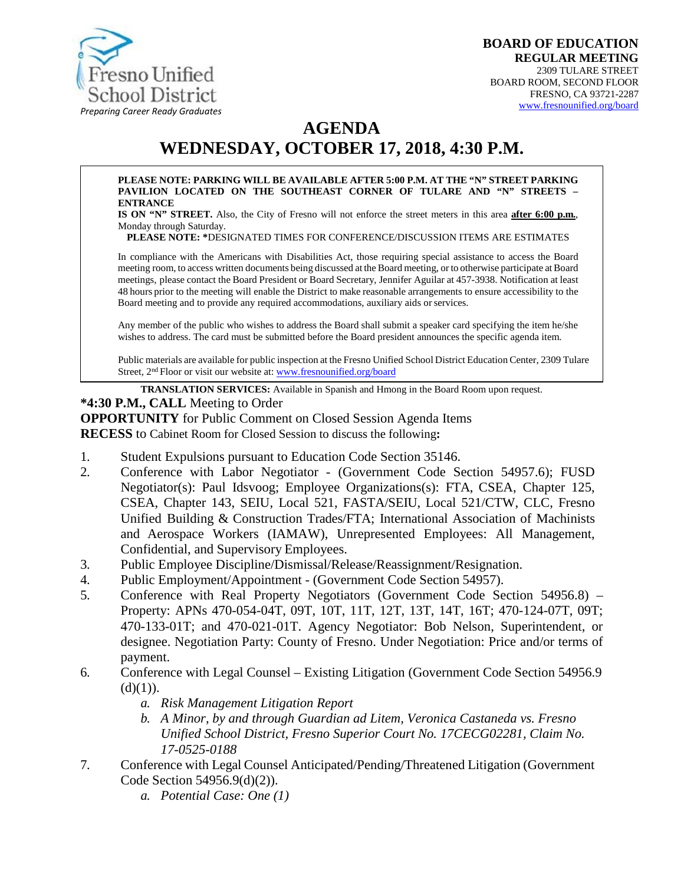

# **AGENDA WEDNESDAY, OCTOBER 17, 2018, 4:30 P.M.**

#### **PLEASE NOTE: PARKING WILL BE AVAILABLE AFTER 5:00 P.M. AT THE "N" STREET PARKING PAVILION LOCATED ON THE SOUTHEAST CORNER OF TULARE AND "N" STREETS – ENTRANCE**

**IS ON "N" STREET.** Also, the City of Fresno will not enforce the street meters in this area **after 6:00 p.m.**, Monday through Saturday.

**PLEASE NOTE: \***DESIGNATED TIMES FOR CONFERENCE/DISCUSSION ITEMS ARE ESTIMATES

In compliance with the Americans with Disabilities Act, those requiring special assistance to access the Board meeting room, to access written documents being discussed at the Board meeting, or to otherwise participate at Board meetings, please contact the Board President or Board Secretary, Jennifer Aguilar at 457-3938. Notification at least 48 hours prior to the meeting will enable the District to make reasonable arrangements to ensure accessibility to the Board meeting and to provide any required accommodations, auxiliary aids orservices.

Any member of the public who wishes to address the Board shall submit a speaker card specifying the item he/she wishes to address. The card must be submitted before the Board president announces the specific agenda item.

Public materials are available for public inspection at the Fresno Unified School District Education Center, 2309 Tulare Street, 2<sup>nd</sup> Floor or visit our website at: [www.fresnounified.org/board](http://www.fresnounified.org/board)

**TRANSLATION SERVICES:** Available in Spanish and Hmong in the Board Room upon request.

#### **\*4:30 P.M., CALL** Meeting to Order

**OPPORTUNITY** for Public Comment on Closed Session Agenda Items

**RECESS** to Cabinet Room for Closed Session to discuss the following**:**

- 1. Student Expulsions pursuant to Education Code Section 35146.
- 2. Conference with Labor Negotiator (Government Code Section 54957.6); FUSD Negotiator(s): Paul Idsvoog; Employee Organizations(s): FTA, CSEA, Chapter 125, CSEA, Chapter 143, SEIU, Local 521, FASTA/SEIU, Local 521/CTW, CLC, Fresno Unified Building & Construction Trades/FTA; International Association of Machinists and Aerospace Workers (IAMAW), Unrepresented Employees: All Management, Confidential, and Supervisory Employees.
- 3. Public Employee Discipline/Dismissal/Release/Reassignment/Resignation.
- 4. Public Employment/Appointment (Government Code Section 54957).
- 5. Conference with Real Property Negotiators (Government Code Section 54956.8) Property: APNs 470-054-04T, 09T, 10T, 11T, 12T, 13T, 14T, 16T; 470-124-07T, 09T; 470-133-01T; and 470-021-01T. Agency Negotiator: Bob Nelson, Superintendent, or designee. Negotiation Party: County of Fresno. Under Negotiation: Price and/or terms of payment.
- 6. Conference with Legal Counsel Existing Litigation (Government Code Section 54956.9  $(d)(1)).$ 
	- *a. Risk Management Litigation Report*
	- *b. A Minor, by and through Guardian ad Litem, Veronica Castaneda vs. Fresno Unified School District, Fresno Superior Court No. 17CECG02281, Claim No. 17-0525-0188*
- 7. Conference with Legal Counsel Anticipated/Pending/Threatened Litigation (Government Code Section 54956.9(d)(2)).
	- *a. Potential Case: One (1)*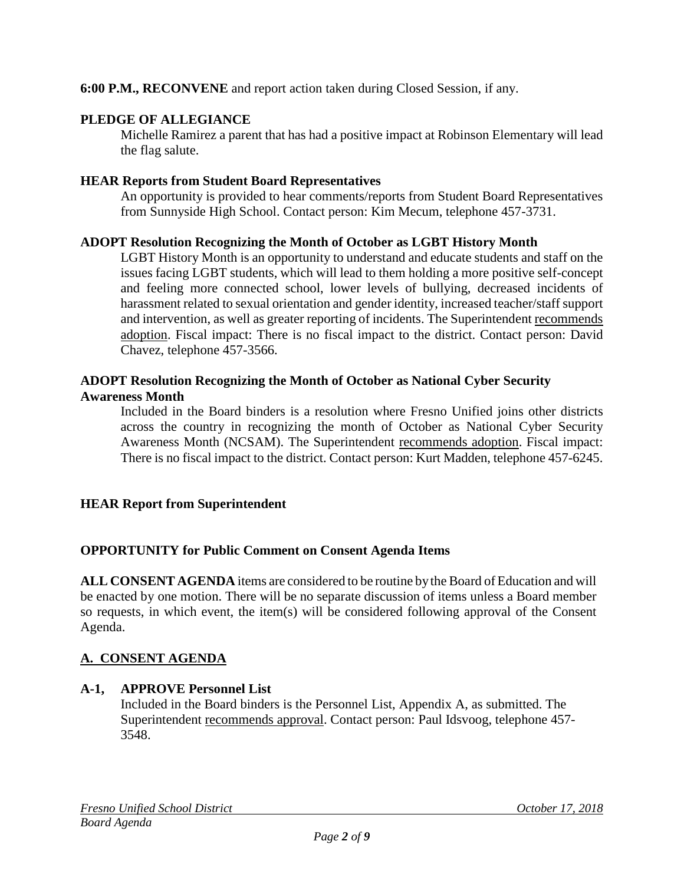#### **6:00 P.M., RECONVENE** and report action taken during Closed Session, if any.

#### **PLEDGE OF ALLEGIANCE**

Michelle Ramirez a parent that has had a positive impact at Robinson Elementary will lead the flag salute.

#### **HEAR Reports from Student Board Representatives**

An opportunity is provided to hear comments/reports from Student Board Representatives from Sunnyside High School. Contact person: Kim Mecum, telephone 457-3731.

#### **ADOPT Resolution Recognizing the Month of October as LGBT History Month**

LGBT History Month is an opportunity to understand and educate students and staff on the issues facing LGBT students, which will lead to them holding a more positive self-concept and feeling more connected school, lower levels of bullying, decreased incidents of harassment related to sexual orientation and gender identity, increased teacher/staff support and intervention, as well as greater reporting of incidents. The Superintendent recommends adoption. Fiscal impact: There is no fiscal impact to the district. Contact person: David Chavez, telephone 457-3566.

#### **ADOPT Resolution Recognizing the Month of October as National Cyber Security Awareness Month**

Included in the Board binders is a resolution where Fresno Unified joins other districts across the country in recognizing the month of October as National Cyber Security Awareness Month (NCSAM). The Superintendent recommends adoption. Fiscal impact: There is no fiscal impact to the district. Contact person: Kurt Madden, telephone 457-6245.

#### **HEAR Report from Superintendent**

#### **OPPORTUNITY for Public Comment on Consent Agenda Items**

**ALL CONSENT AGENDA** items are considered to be routine bythe Board of Education and will be enacted by one motion. There will be no separate discussion of items unless a Board member so requests, in which event, the item(s) will be considered following approval of the Consent Agenda.

#### **A. CONSENT AGENDA**

#### **A-1, APPROVE Personnel List**

Included in the Board binders is the Personnel List, Appendix A, as submitted. The Superintendent recommends approval. Contact person: Paul Idsvoog, telephone 457- 3548.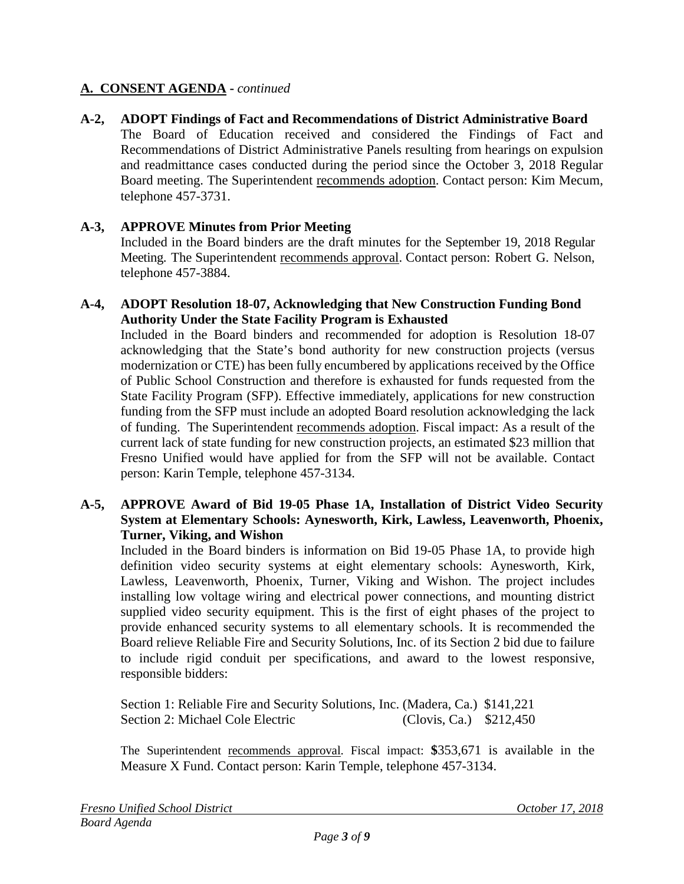#### **A-2, ADOPT Findings of Fact and Recommendations of District Administrative Board**

The Board of Education received and considered the Findings of Fact and Recommendations of District Administrative Panels resulting from hearings on expulsion and readmittance cases conducted during the period since the October 3, 2018 Regular Board meeting. The Superintendent recommends adoption. Contact person: Kim Mecum, telephone 457-3731.

#### **A-3, APPROVE Minutes from Prior Meeting**

Included in the Board binders are the draft minutes for the September 19, 2018 Regular Meeting. The Superintendent recommends approval. Contact person: Robert G. Nelson, telephone 457-3884.

#### **A-4, ADOPT Resolution 18-07, Acknowledging that New Construction Funding Bond Authority Under the State Facility Program is Exhausted**

Included in the Board binders and recommended for adoption is Resolution 18-07 acknowledging that the State's bond authority for new construction projects (versus modernization or CTE) has been fully encumbered by applications received by the Office of Public School Construction and therefore is exhausted for funds requested from the State Facility Program (SFP). Effective immediately, applications for new construction funding from the SFP must include an adopted Board resolution acknowledging the lack of funding. The Superintendent recommends adoption. Fiscal impact: As a result of the current lack of state funding for new construction projects, an estimated \$23 million that Fresno Unified would have applied for from the SFP will not be available. Contact person: Karin Temple, telephone 457-3134.

#### **A-5, APPROVE Award of Bid 19-05 Phase 1A, Installation of District Video Security System at Elementary Schools: Aynesworth, Kirk, Lawless, Leavenworth, Phoenix, Turner, Viking, and Wishon**

Included in the Board binders is information on Bid 19-05 Phase 1A, to provide high definition video security systems at eight elementary schools: Aynesworth, Kirk, Lawless, Leavenworth, Phoenix, Turner, Viking and Wishon. The project includes installing low voltage wiring and electrical power connections, and mounting district supplied video security equipment. This is the first of eight phases of the project to provide enhanced security systems to all elementary schools. It is recommended the Board relieve Reliable Fire and Security Solutions, Inc. of its Section 2 bid due to failure to include rigid conduit per specifications, and award to the lowest responsive, responsible bidders:

Section 1: Reliable Fire and Security Solutions, Inc. (Madera, Ca.) \$141,221 Section 2: Michael Cole Electric (Clovis, Ca.) \$212,450

The Superintendent recommends approval. Fiscal impact: **\$**353,671 is available in the Measure X Fund. Contact person: Karin Temple, telephone 457-3134.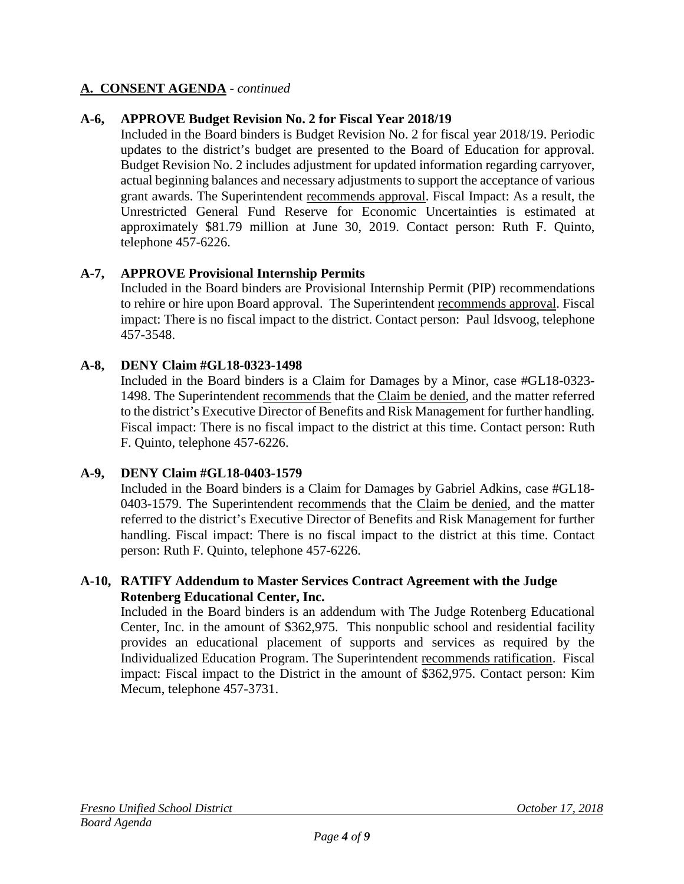#### **A-6, APPROVE Budget Revision No. 2 for Fiscal Year 2018/19**

Included in the Board binders is Budget Revision No. 2 for fiscal year 2018/19. Periodic updates to the district's budget are presented to the Board of Education for approval. Budget Revision No. 2 includes adjustment for updated information regarding carryover, actual beginning balances and necessary adjustments to support the acceptance of various grant awards. The Superintendent recommends approval. Fiscal Impact: As a result, the Unrestricted General Fund Reserve for Economic Uncertainties is estimated at approximately \$81.79 million at June 30, 2019. Contact person: Ruth F. Quinto, telephone 457-6226.

#### **A-7, APPROVE Provisional Internship Permits**

Included in the Board binders are Provisional Internship Permit (PIP) recommendations to rehire or hire upon Board approval. The Superintendent recommends approval. Fiscal impact: There is no fiscal impact to the district. Contact person: Paul Idsvoog, telephone 457-3548.

#### **A-8, DENY Claim #GL18-0323-1498**

Included in the Board binders is a Claim for Damages by a Minor, case #GL18-0323- 1498. The Superintendent recommends that the Claim be denied, and the matter referred to the district's Executive Director of Benefits and Risk Management for further handling. Fiscal impact: There is no fiscal impact to the district at this time. Contact person: Ruth F. Quinto, telephone 457-6226.

#### **A-9, DENY Claim #GL18-0403-1579**

Included in the Board binders is a Claim for Damages by Gabriel Adkins, case #GL18- 0403-1579. The Superintendent recommends that the Claim be denied, and the matter referred to the district's Executive Director of Benefits and Risk Management for further handling. Fiscal impact: There is no fiscal impact to the district at this time. Contact person: Ruth F. Quinto, telephone 457-6226.

#### **A-10, RATIFY Addendum to Master Services Contract Agreement with the Judge Rotenberg Educational Center, Inc.**

Included in the Board binders is an addendum with The Judge Rotenberg Educational Center, Inc. in the amount of \$362,975. This nonpublic school and residential facility provides an educational placement of supports and services as required by the Individualized Education Program. The Superintendent recommends ratification. Fiscal impact: Fiscal impact to the District in the amount of \$362,975. Contact person: Kim Mecum, telephone 457-3731.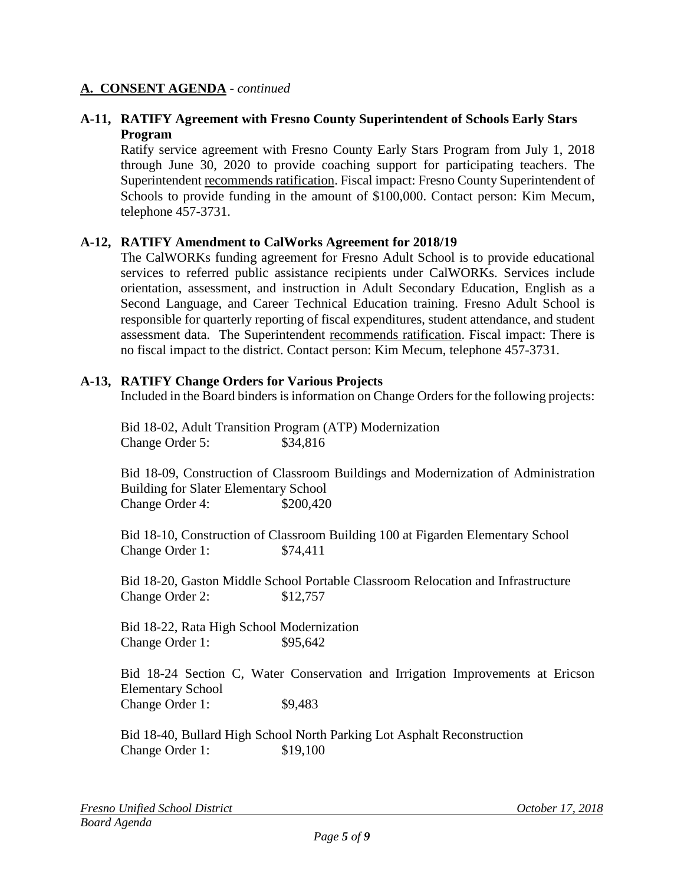#### **A-11, RATIFY Agreement with Fresno County Superintendent of Schools Early Stars Program**

Ratify service agreement with Fresno County Early Stars Program from July 1, 2018 through June 30, 2020 to provide coaching support for participating teachers. The Superintendent recommends ratification. Fiscal impact: Fresno County Superintendent of Schools to provide funding in the amount of \$100,000. Contact person: Kim Mecum, telephone 457-3731.

#### **A-12, RATIFY Amendment to CalWorks Agreement for 2018/19**

The CalWORKs funding agreement for Fresno Adult School is to provide educational services to referred public assistance recipients under CalWORKs. Services include orientation, assessment, and instruction in Adult Secondary Education, English as a Second Language, and Career Technical Education training. Fresno Adult School is responsible for quarterly reporting of fiscal expenditures, student attendance, and student assessment data. The Superintendent recommends ratification. Fiscal impact: There is no fiscal impact to the district. Contact person: Kim Mecum, telephone 457-3731.

#### **A-13, RATIFY Change Orders for Various Projects**

Included in the Board binders is information on Change Orders for the following projects:

Bid 18-02, Adult Transition Program (ATP) Modernization Change Order 5: \$34,816

Bid 18-09, Construction of Classroom Buildings and Modernization of Administration Building for Slater Elementary School Change Order 4: \$200,420

Bid 18-10, Construction of Classroom Building 100 at Figarden Elementary School Change Order 1: \$74,411

Bid 18-20, Gaston Middle School Portable Classroom Relocation and Infrastructure Change Order 2: \$12,757

Bid 18-22, Rata High School Modernization Change Order 1: \$95,642

Bid 18-24 Section C, Water Conservation and Irrigation Improvements at Ericson Elementary School Change Order 1: \$9,483

Bid 18-40, Bullard High School North Parking Lot Asphalt Reconstruction Change Order 1: \$19,100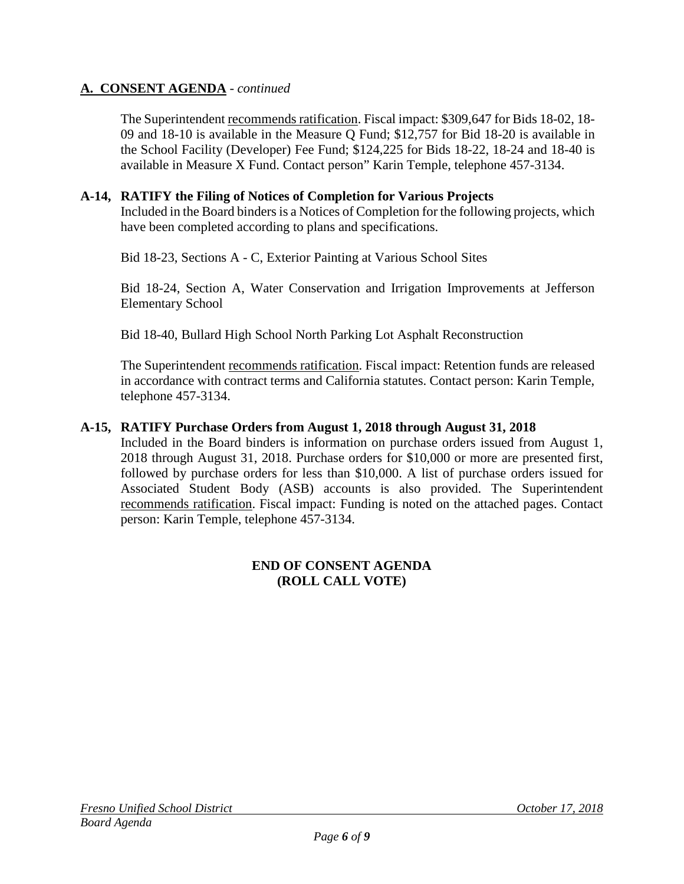The Superintendent recommends ratification. Fiscal impact: \$309,647 for Bids 18-02, 18- 09 and 18-10 is available in the Measure Q Fund; \$12,757 for Bid 18-20 is available in the School Facility (Developer) Fee Fund; \$124,225 for Bids 18-22, 18-24 and 18-40 is available in Measure X Fund. Contact person" Karin Temple, telephone 457-3134.

#### **A-14, RATIFY the Filing of Notices of Completion for Various Projects**

Included in the Board binders is a Notices of Completion for the following projects, which have been completed according to plans and specifications.

Bid 18-23, Sections A - C, Exterior Painting at Various School Sites

Bid 18-24, Section A, Water Conservation and Irrigation Improvements at Jefferson Elementary School

Bid 18-40, Bullard High School North Parking Lot Asphalt Reconstruction

The Superintendent recommends ratification. Fiscal impact: Retention funds are released in accordance with contract terms and California statutes. Contact person: Karin Temple, telephone 457-3134.

#### **A-15, RATIFY Purchase Orders from August 1, 2018 through August 31, 2018**

Included in the Board binders is information on purchase orders issued from August 1, 2018 through August 31, 2018. Purchase orders for \$10,000 or more are presented first, followed by purchase orders for less than \$10,000. A list of purchase orders issued for Associated Student Body (ASB) accounts is also provided. The Superintendent recommends ratification. Fiscal impact: Funding is noted on the attached pages. Contact person: Karin Temple, telephone 457-3134.

#### **END OF CONSENT AGENDA (ROLL CALL VOTE)**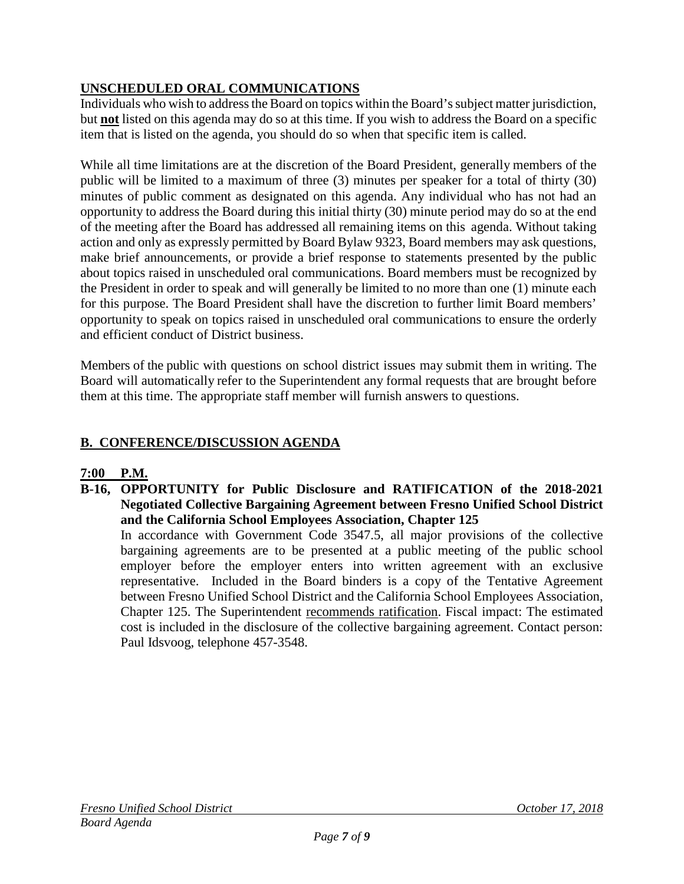## **UNSCHEDULED ORAL COMMUNICATIONS**

Individuals who wish to address the Board on topics within the Board's subject matter jurisdiction, but **not** listed on this agenda may do so at this time. If you wish to address the Board on a specific item that is listed on the agenda, you should do so when that specific item is called.

While all time limitations are at the discretion of the Board President, generally members of the public will be limited to a maximum of three (3) minutes per speaker for a total of thirty (30) minutes of public comment as designated on this agenda. Any individual who has not had an opportunity to address the Board during this initial thirty (30) minute period may do so at the end of the meeting after the Board has addressed all remaining items on this agenda. Without taking action and only as expressly permitted by Board Bylaw 9323, Board members may ask questions, make brief announcements, or provide a brief response to statements presented by the public about topics raised in unscheduled oral communications. Board members must be recognized by the President in order to speak and will generally be limited to no more than one (1) minute each for this purpose. The Board President shall have the discretion to further limit Board members' opportunity to speak on topics raised in unscheduled oral communications to ensure the orderly and efficient conduct of District business.

Members of the public with questions on school district issues may submit them in writing. The Board will automatically refer to the Superintendent any formal requests that are brought before them at this time. The appropriate staff member will furnish answers to questions.

## **B. CONFERENCE/DISCUSSION AGENDA**

## **7:00 P.M.**

**B-16, OPPORTUNITY for Public Disclosure and RATIFICATION of the 2018-2021 Negotiated Collective Bargaining Agreement between Fresno Unified School District and the California School Employees Association, Chapter 125**

In accordance with Government Code 3547.5, all major provisions of the collective bargaining agreements are to be presented at a public meeting of the public school employer before the employer enters into written agreement with an exclusive representative. Included in the Board binders is a copy of the Tentative Agreement between Fresno Unified School District and the California School Employees Association, Chapter 125. The Superintendent recommends ratification. Fiscal impact: The estimated cost is included in the disclosure of the collective bargaining agreement. Contact person: Paul Idsvoog, telephone 457-3548.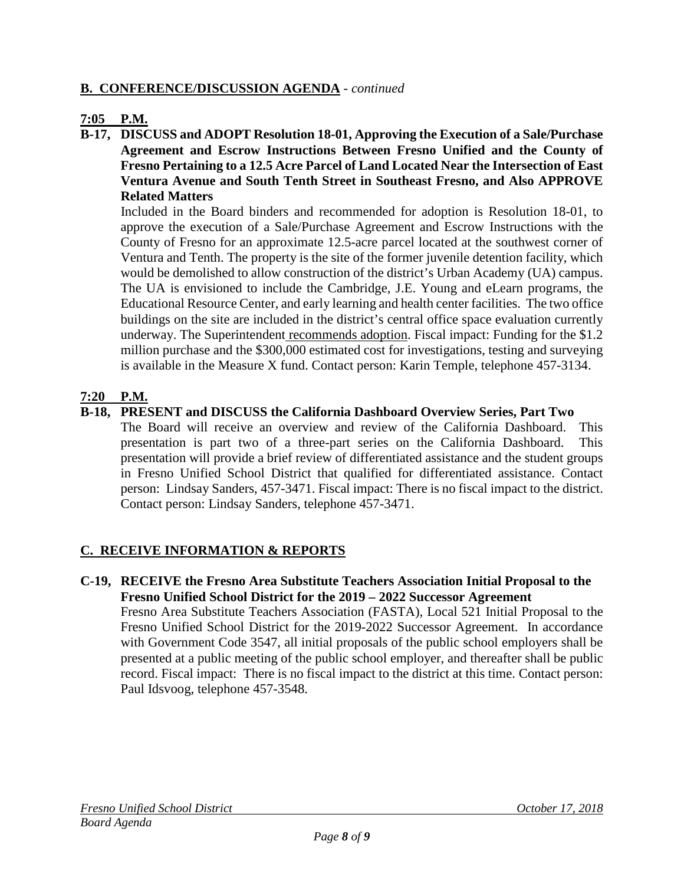#### **B. CONFERENCE/DISCUSSION AGENDA** - *continued*

#### **7:05 P.M.**

**B-17, DISCUSS and ADOPT Resolution 18-01, Approving the Execution of a Sale/Purchase Agreement and Escrow Instructions Between Fresno Unified and the County of Fresno Pertaining to a 12.5 Acre Parcel of Land Located Near the Intersection of East Ventura Avenue and South Tenth Street in Southeast Fresno, and Also APPROVE Related Matters**

Included in the Board binders and recommended for adoption is Resolution 18-01, to approve the execution of a Sale/Purchase Agreement and Escrow Instructions with the County of Fresno for an approximate 12.5-acre parcel located at the southwest corner of Ventura and Tenth. The property is the site of the former juvenile detention facility, which would be demolished to allow construction of the district's Urban Academy (UA) campus. The UA is envisioned to include the Cambridge, J.E. Young and eLearn programs, the Educational Resource Center, and early learning and health center facilities. The two office buildings on the site are included in the district's central office space evaluation currently underway. The Superintendent recommends adoption. Fiscal impact: Funding for the \$1.2 million purchase and the \$300,000 estimated cost for investigations, testing and surveying is available in the Measure X fund. Contact person: Karin Temple, telephone 457-3134.

#### **7:20 P.M.**

#### **B-18, PRESENT and DISCUSS the California Dashboard Overview Series, Part Two**

The Board will receive an overview and review of the California Dashboard. This presentation is part two of a three-part series on the California Dashboard. This presentation will provide a brief review of differentiated assistance and the student groups in Fresno Unified School District that qualified for differentiated assistance. Contact person: Lindsay Sanders, 457-3471. Fiscal impact: There is no fiscal impact to the district. Contact person: Lindsay Sanders, telephone 457-3471.

#### **C. RECEIVE INFORMATION & REPORTS**

**C-19, RECEIVE the Fresno Area Substitute Teachers Association Initial Proposal to the Fresno Unified School District for the 2019 – 2022 Successor Agreement**

Fresno Area Substitute Teachers Association (FASTA), Local 521 Initial Proposal to the Fresno Unified School District for the 2019-2022 Successor Agreement. In accordance with Government Code 3547, all initial proposals of the public school employers shall be presented at a public meeting of the public school employer, and thereafter shall be public record. Fiscal impact: There is no fiscal impact to the district at this time. Contact person: Paul Idsvoog, telephone 457-3548.